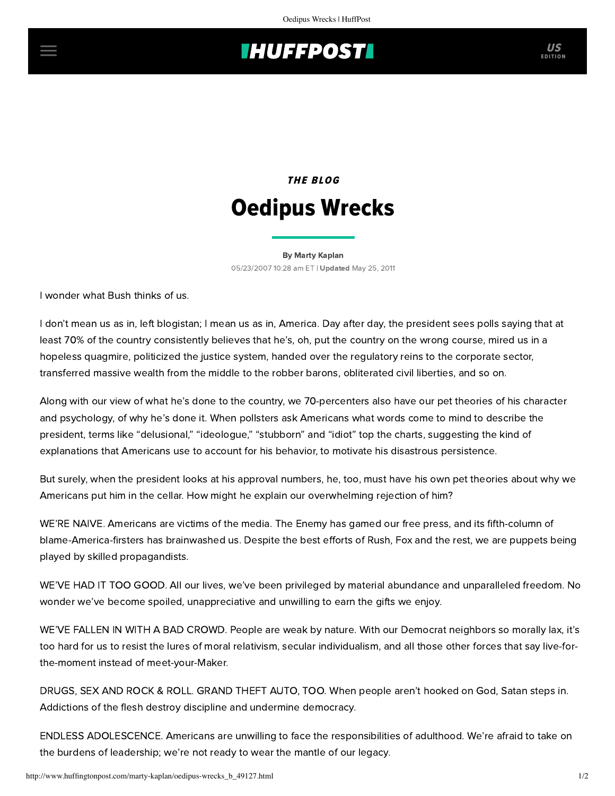## **THUFFPOST**

## THE BLOG Oedipus Wrecks

[By Marty Kaplan](http://www.huffingtonpost.com/author/marty-kaplan) 05/23/2007 10:28 am ET | Updated May 25, 2011

I wonder what Bush thinks of us.

I don't mean us as in, left blogistan; I mean us as in, America. Day after day, the president sees polls saying that at least 70% of the country consistently believes that he's, oh, put the country on the wrong course, mired us in a hopeless quagmire, politicized the justice system, handed over the regulatory reins to the corporate sector, transferred massive wealth from the middle to the robber barons, obliterated civil liberties, and so on.

Along with our view of what he's done to the country, we 70-percenters also have our pet theories of his character and psychology, of why he's done it. When pollsters ask Americans what words come to mind to describe the president, terms like "delusional," "ideologue," "stubborn" and "idiot" top the charts, suggesting the kind of explanations that Americans use to account for his behavior, to motivate his disastrous persistence.

But surely, when the president looks at his approval numbers, he, too, must have his own pet theories about why we Americans put him in the cellar. How might he explain our overwhelming rejection of him?

WE'RE NAIVE. Americans are victims of the media. The Enemy has gamed our free press, and its fifth-column of blame-America-firsters has brainwashed us. Despite the best efforts of Rush, Fox and the rest, we are puppets being played by skilled propagandists.

WE'VE HAD IT TOO GOOD. All our lives, we've been privileged by material abundance and unparalleled freedom. No wonder we've become spoiled, unappreciative and unwilling to earn the gifts we enjoy.

WE'VE FALLEN IN WITH A BAD CROWD. People are weak by nature. With our Democrat neighbors so morally lax, it's too hard for us to resist the lures of moral relativism, secular individualism, and all those other forces that say live-forthe-moment instead of meet-your-Maker.

DRUGS, SEX AND ROCK & ROLL. GRAND THEFT AUTO, TOO. When people aren't hooked on God, Satan steps in. Addictions of the flesh destroy discipline and undermine democracy.

ENDLESS ADOLESCENCE. Americans are unwilling to face the responsibilities of adulthood. We're afraid to take on the burdens of leadership; we're not ready to wear the mantle of our legacy.